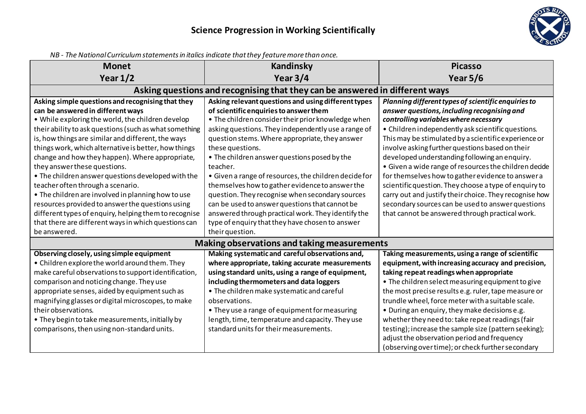

| <u>NB - The National Curriculum Statements in Italics inalcate that they feature more than once.</u> |                                                       |                                                                                                      |  |  |
|------------------------------------------------------------------------------------------------------|-------------------------------------------------------|------------------------------------------------------------------------------------------------------|--|--|
| <b>Monet</b>                                                                                         | <b>Kandinsky</b>                                      | <b>Picasso</b>                                                                                       |  |  |
| Year $1/2$                                                                                           | Year $3/4$                                            | Year $5/6$                                                                                           |  |  |
| Asking questions and recognising that they can be answered in different ways                         |                                                       |                                                                                                      |  |  |
| Asking simple questions and recognising that they                                                    | Asking relevant questions and using different types   | Planning different types of scientific enquiries to                                                  |  |  |
| can be answered in different ways                                                                    | of scientific enquiries to answer them                | answer questions, including recognising and                                                          |  |  |
| . While exploring the world, the children develop                                                    | • The children consider their prior knowledge when    | controlling variables where necessary                                                                |  |  |
| their ability to ask questions (such as what something                                               | asking questions. They independently use a range of   | • Children independently ask scientific questions.                                                   |  |  |
| is, how things are similar and different, the ways                                                   | question stems. Where appropriate, they answer        | This may be stimulated by a scientific experience or                                                 |  |  |
| things work, which alternative is better, how things                                                 | these questions.                                      | involve asking further questions based on their                                                      |  |  |
| change and how they happen). Where appropriate,                                                      | . The children answer questions posed by the          | developed understanding following an enquiry.                                                        |  |  |
| they answer these questions.                                                                         | teacher.                                              | • Given a wide range of resources the children decide                                                |  |  |
| • The children answer questions developed with the                                                   | • Given a range of resources, the children decide for | for themselves how to gather evidence to answer a                                                    |  |  |
| teacher often through a scenario.                                                                    | themselves how to gather evidence to answer the       | scientific question. They choose a type of enquiry to                                                |  |  |
| • The children are involved in planning how to use                                                   | question. They recognise when secondary sources       | carry out and justify their choice. They recognise how                                               |  |  |
| resources provided to answer the questions using                                                     | can be used to answer questions that cannot be        | secondary sources can be used to answer questions                                                    |  |  |
| different types of enquiry, helping them to recognise                                                | answered through practical work. They identify the    | that cannot be answered through practical work.                                                      |  |  |
| that there are different ways in which questions can                                                 | type of enquiry that they have chosen to answer       |                                                                                                      |  |  |
| be answered.                                                                                         | their question.                                       |                                                                                                      |  |  |
|                                                                                                      | Making observations and taking measurements           |                                                                                                      |  |  |
| Observing closely, using simple equipment                                                            | Making systematic and careful observations and,       | Taking measurements, using a range of scientific                                                     |  |  |
| • Children explore the world around them. They                                                       | where appropriate, taking accurate measurements       | equipment, with increasing accuracy and precision,                                                   |  |  |
| make careful observations to support identification,                                                 | using standard units, using a range of equipment,     | taking repeat readings when appropriate                                                              |  |  |
| comparison and noticing change. They use                                                             | including thermometers and data loggers               | • The children select measuring equipment to give                                                    |  |  |
| appropriate senses, aided by equipment such as                                                       | • The children make systematic and careful            | the most precise results e.g. ruler, tape measure or                                                 |  |  |
| magnifying glasses or digital microscopes, to make                                                   | observations.                                         | trundle wheel, force meter with a suitable scale.                                                    |  |  |
| their observations.                                                                                  | • They use a range of equipment for measuring         | . During an enquiry, they make decisions e.g.                                                        |  |  |
| . They begin to take measurements, initially by                                                      | length, time, temperature and capacity. They use      | whether they need to: take repeat readings (fair                                                     |  |  |
| comparisons, then using non-standard units.                                                          | standard units for their measurements.                | testing); increase the sample size (pattern seeking);<br>adjust the observation period and frequency |  |  |
|                                                                                                      |                                                       | (observing over time); or check further secondary                                                    |  |  |

*NB - The National Curriculum statements in italics indicate that they feature more than once.*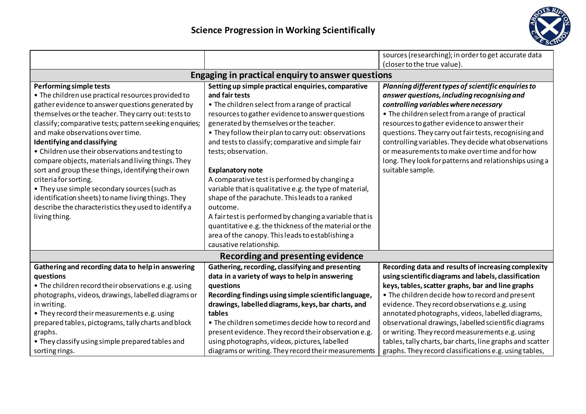

|                                                                                                                                                                                                                                                                                                                                                                                                                                                                                                                                                                                                                                                                                                |                                                                                                                                                                                                                                                                                                                                                                                                                                                                                                                                                                                                                                                                                                                                                                     | sources (researching); in order to get accurate data<br>(closer to the true value).                                                                                                                                                                                                                                                                                                                                                                                                            |  |  |
|------------------------------------------------------------------------------------------------------------------------------------------------------------------------------------------------------------------------------------------------------------------------------------------------------------------------------------------------------------------------------------------------------------------------------------------------------------------------------------------------------------------------------------------------------------------------------------------------------------------------------------------------------------------------------------------------|---------------------------------------------------------------------------------------------------------------------------------------------------------------------------------------------------------------------------------------------------------------------------------------------------------------------------------------------------------------------------------------------------------------------------------------------------------------------------------------------------------------------------------------------------------------------------------------------------------------------------------------------------------------------------------------------------------------------------------------------------------------------|------------------------------------------------------------------------------------------------------------------------------------------------------------------------------------------------------------------------------------------------------------------------------------------------------------------------------------------------------------------------------------------------------------------------------------------------------------------------------------------------|--|--|
| Engaging in practical enquiry to answer questions                                                                                                                                                                                                                                                                                                                                                                                                                                                                                                                                                                                                                                              |                                                                                                                                                                                                                                                                                                                                                                                                                                                                                                                                                                                                                                                                                                                                                                     |                                                                                                                                                                                                                                                                                                                                                                                                                                                                                                |  |  |
| Performing simple tests<br>• The children use practical resources provided to<br>gather evidence to answer questions generated by<br>themselves or the teacher. They carry out: tests to<br>classify; comparative tests; pattern seeking enquiries;<br>and make observations over time.<br>Identifying and classifying<br>• Children use their observations and testing to<br>compare objects, materials and living things. They<br>sort and group these things, identifying their own<br>criteria for sorting.<br>• They use simple secondary sources (such as<br>identification sheets) to name living things. They<br>describe the characteristics they used to identify a<br>living thing. | Setting up simple practical enquiries, comparative<br>and fair tests<br>• The children select from a range of practical<br>resources to gather evidence to answer questions<br>generated by themselves or the teacher.<br>. They follow their plan to carry out: observations<br>and tests to classify; comparative and simple fair<br>tests; observation.<br><b>Explanatory note</b><br>A comparative test is performed by changing a<br>variable that is qualitative e.g. the type of material,<br>shape of the parachute. This leads to a ranked<br>outcome.<br>A fair test is performed by changing a variable that is<br>quantitative e.g. the thickness of the material or the<br>area of the canopy. This leads to establishing a<br>causative relationship. | Planning different types of scientific enquiries to<br>answer questions, including recognising and<br>controlling variables where necessary<br>• The children select from a range of practical<br>resources to gather evidence to answer their<br>questions. They carry out fair tests, recognising and<br>controlling variables. They decide what observations<br>or measurements to make over time and for how<br>long. They look for patterns and relationships using a<br>suitable sample. |  |  |
| Recording and presenting evidence                                                                                                                                                                                                                                                                                                                                                                                                                                                                                                                                                                                                                                                              |                                                                                                                                                                                                                                                                                                                                                                                                                                                                                                                                                                                                                                                                                                                                                                     |                                                                                                                                                                                                                                                                                                                                                                                                                                                                                                |  |  |
| Gathering and recording data to help in answering<br>questions<br>• The children record their observations e.g. using<br>photographs, videos, drawings, labelled diagrams or<br>in writing.<br>. They record their measurements e.g. using<br>prepared tables, pictograms, tally charts and block<br>graphs.                                                                                                                                                                                                                                                                                                                                                                                   | Gathering, recording, classifying and presenting<br>data in a variety of ways to help in answering<br>questions<br>Recording findings using simple scientific language,<br>drawings, labelled diagrams, keys, bar charts, and<br>tables<br>• The children sometimes decide how to record and<br>present evidence. They record their observation e.g.                                                                                                                                                                                                                                                                                                                                                                                                                | Recording data and results of increasing complexity<br>using scientific diagrams and labels, classification<br>keys, tables, scatter graphs, bar and line graphs<br>• The children decide how to record and present<br>evidence. They record observations e.g. using<br>annotated photographs, videos, labelled diagrams,<br>observational drawings, labelled scientific diagrams<br>or writing. They record measurements e.g. using                                                           |  |  |
| • They classify using simple prepared tables and<br>sorting rings.                                                                                                                                                                                                                                                                                                                                                                                                                                                                                                                                                                                                                             | using photographs, videos, pictures, labelled<br>diagrams or writing. They record their measurements                                                                                                                                                                                                                                                                                                                                                                                                                                                                                                                                                                                                                                                                | tables, tally charts, bar charts, line graphs and scatter<br>graphs. They record classifications e.g. using tables,                                                                                                                                                                                                                                                                                                                                                                            |  |  |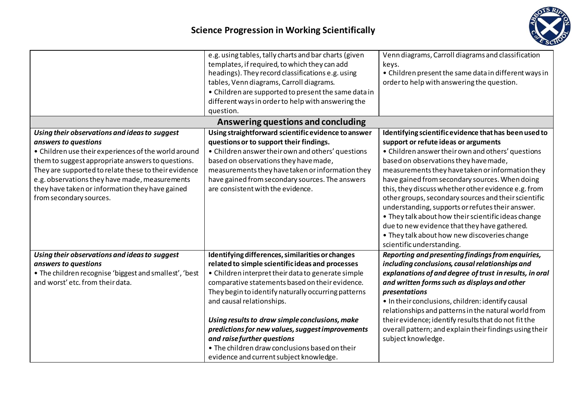

|                                                                                                                                                                                                                                                                                                                                                                            | e.g. using tables, tally charts and bar charts (given<br>templates, if required, to which they can add<br>headings). They record classifications e.g. using<br>tables, Venn diagrams, Carroll diagrams.<br>• Children are supported to present the same data in<br>different ways in order to help with answering the<br>question.                                                                                                                                                                                                  | Venn diagrams, Carroll diagrams and classification<br>keys.<br>• Children present the same data in different ways in<br>order to help with answering the question.                                                                                                                                                                                                                                                                                                                                                                                                                                                                                       |  |  |
|----------------------------------------------------------------------------------------------------------------------------------------------------------------------------------------------------------------------------------------------------------------------------------------------------------------------------------------------------------------------------|-------------------------------------------------------------------------------------------------------------------------------------------------------------------------------------------------------------------------------------------------------------------------------------------------------------------------------------------------------------------------------------------------------------------------------------------------------------------------------------------------------------------------------------|----------------------------------------------------------------------------------------------------------------------------------------------------------------------------------------------------------------------------------------------------------------------------------------------------------------------------------------------------------------------------------------------------------------------------------------------------------------------------------------------------------------------------------------------------------------------------------------------------------------------------------------------------------|--|--|
| Answering questions and concluding                                                                                                                                                                                                                                                                                                                                         |                                                                                                                                                                                                                                                                                                                                                                                                                                                                                                                                     |                                                                                                                                                                                                                                                                                                                                                                                                                                                                                                                                                                                                                                                          |  |  |
| Using their observations and ideas to suggest<br>answers to questions<br>• Children use their experiences of the world around<br>them to suggest appropriate answers to questions.<br>They are supported to relate these to their evidence<br>e.g. observations they have made, measurements<br>they have taken or information they have gained<br>from secondary sources. | Using straightforward scientific evidence to answer<br>questions or to support their findings.<br>• Children answer their own and others' questions<br>based on observations they have made,<br>measurements they have taken or information they<br>have gained from secondary sources. The answers<br>are consistent with the evidence.                                                                                                                                                                                            | Identifying scientific evidence that has been used to<br>support or refute ideas or arguments<br>• Children answer their own and others' questions<br>based on observations they have made,<br>measurements they have taken or information they<br>have gained from secondary sources. When doing<br>this, they discuss whether other evidence e.g. from<br>other groups, secondary sources and their scientific<br>understanding, supports or refutes their answer.<br>• They talk about how their scientific ideas change<br>due to new evidence that they have gathered.<br>. They talk about how new discoveries change<br>scientific understanding. |  |  |
| Using their observations and ideas to suggest<br>answers to questions<br>. The children recognise 'biggest and smallest', 'best<br>and worst' etc. from their data.                                                                                                                                                                                                        | Identifying differences, similarities or changes<br>related to simple scientific ideas and processes<br>• Children interpret their data to generate simple<br>comparative statements based on their evidence.<br>They begin to identify naturally occurring patterns<br>and causal relationships.<br>Using results to draw simple conclusions, make<br>predictions for new values, suggest improvements<br>and raise further questions<br>• The children draw conclusions based on their<br>evidence and current subject knowledge. | Reporting and presenting findings from enquiries,<br>including conclusions, causal relationships and<br>explanations of and degree of trust in results, in oral<br>and written forms such as displays and other<br>presentations<br>. In their conclusions, children: identify causal<br>relationships and patterns in the natural world from<br>their evidence; identify results that donot fit the<br>overall pattern; and explain their findings using their<br>subject knowledge.                                                                                                                                                                    |  |  |